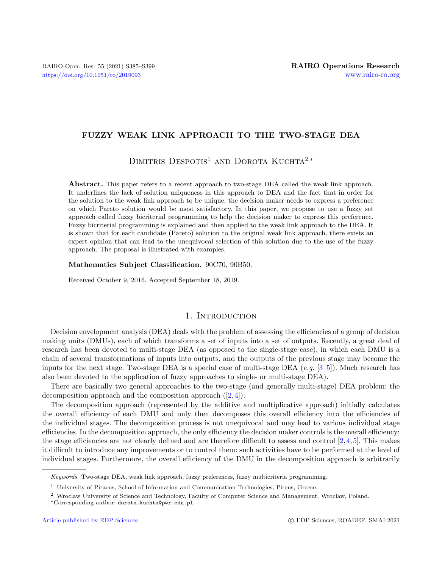# FUZZY WEAK LINK APPROACH TO THE TWO-STAGE DEA

DIMITRIS DESPOTIS<sup>1</sup> AND DOROTA KUCHTA<sup>2,\*</sup>

Abstract. This paper refers to a recent approach to two-stage DEA called the weak link approach. It underlines the lack of solution uniqueness in this approach to DEA and the fact that in order for the solution to the weak link approach to be unique, the decision maker needs to express a preference on which Pareto solution would be most satisfactory. In this paper, we propose to use a fuzzy set approach called fuzzy bicriterial programming to help the decision maker to express this preference. Fuzzy bicriterial programming is explained and then applied to the weak link approach to the DEA. It is shown that for each candidate (Pareto) solution to the original weak link approach, there exists an expert opinion that can lead to the unequivocal selection of this solution due to the use of the fuzzy approach. The proposal is illustrated with examples.

#### Mathematics Subject Classification. 90C70, 90B50.

Received October 9, 2016. Accepted September 18, 2019.

#### 1. INTRODUCTION

Decision envelopment analysis (DEA) deals with the problem of assessing the efficiencies of a group of decision making units (DMUs), each of which transforms a set of inputs into a set of outputs. Recently, a great deal of research has been devoted to multi-stage DEA (as opposed to the single-stage case), in which each DMU is a chain of several transformations of inputs into outputs, and the outputs of the previous stage may become the inputs for the next stage. Two-stage DEA is a special case of multi-stage DEA (e.g. [\[3–](#page-13-0)[5\]](#page-14-0)). Much research has also been devoted to the application of fuzzy approaches to single- or multi-stage DEA).

There are basically two general approaches to the two-stage (and generally multi-stage) DEA problem: the decomposition approach and the composition approach  $([2, 4])$  $([2, 4])$  $([2, 4])$  $([2, 4])$  $([2, 4])$ .

The decomposition approach (represented by the additive and multiplicative approach) initially calculates the overall efficiency of each DMU and only then decomposes this overall efficiency into the efficiencies of the individual stages. The decomposition process is not unequivocal and may lead to various individual stage efficiencies. In the decomposition approach, the only efficiency the decision maker controls is the overall efficiency; the stage efficiencies are not clearly defined and are therefore difficult to assess and control  $[2,4,5]$  $[2,4,5]$  $[2,4,5]$ . This makes it difficult to introduce any improvements or to control them: such activities have to be performed at the level of individual stages. Furthermore, the overall efficiency of the DMU in the decomposition approach is arbitrarily

Keywords. Two-stage DEA, weak link approach, fuzzy preferences, fuzzy multicriteria programming.

<sup>1</sup> University of Piraeus, School of Information and Communication Technologies, Pireus, Greece.

<sup>2</sup> Wroclaw University of Science and Technology, Faculty of Computer Science and Management, Wroclaw, Poland.

<sup>∗</sup>Corresponding author: [dorota.kuchta@pwr.edu.pl](mailto:dorota.kuchta@pwr.edu.pl)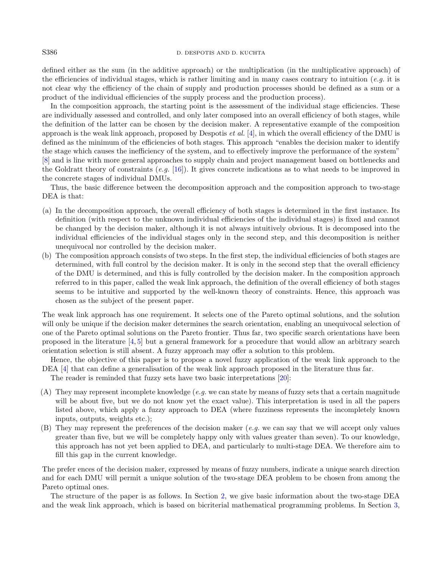### S386 D. DESPOTIS AND D. KUCHTA

defined either as the sum (in the additive approach) or the multiplication (in the multiplicative approach) of the efficiencies of individual stages, which is rather limiting and in many cases contrary to intuition (e.g. it is not clear why the efficiency of the chain of supply and production processes should be defined as a sum or a product of the individual efficiencies of the supply process and the production process).

In the composition approach, the starting point is the assessment of the individual stage efficiencies. These are individually assessed and controlled, and only later composed into an overall efficiency of both stages, while the definition of the latter can be chosen by the decision maker. A representative example of the composition approach is the weak link approach, proposed by Despotis *et al.* [\[4\]](#page-13-2), in which the overall efficiency of the DMU is defined as the minimum of the efficiencies of both stages. This approach "enables the decision maker to identify the stage which causes the inefficiency of the system, and to effectively improve the performance of the system" [\[8\]](#page-14-1) and is line with more general approaches to supply chain and project management based on bottlenecks and the Goldratt theory of constraints  $(e.g. [16])$  $(e.g. [16])$  $(e.g. [16])$ . It gives concrete indications as to what needs to be improved in the concrete stages of individual DMUs.

Thus, the basic difference between the decomposition approach and the composition approach to two-stage DEA is that:

- (a) In the decomposition approach, the overall efficiency of both stages is determined in the first instance. Its definition (with respect to the unknown individual efficiencies of the individual stages) is fixed and cannot be changed by the decision maker, although it is not always intuitively obvious. It is decomposed into the individual efficiencies of the individual stages only in the second step, and this decomposition is neither unequivocal nor controlled by the decision maker.
- (b) The composition approach consists of two steps. In the first step, the individual efficiencies of both stages are determined, with full control by the decision maker. It is only in the second step that the overall efficiency of the DMU is determined, and this is fully controlled by the decision maker. In the composition approach referred to in this paper, called the weak link approach, the definition of the overall efficiency of both stages seems to be intuitive and supported by the well-known theory of constraints. Hence, this approach was chosen as the subject of the present paper.

The weak link approach has one requirement. It selects one of the Pareto optimal solutions, and the solution will only be unique if the decision maker determines the search orientation, enabling an unequivocal selection of one of the Pareto optimal solutions on the Pareto frontier. Thus far, two specific search orientations have been proposed in the literature [\[4,](#page-13-2) [5\]](#page-14-0) but a general framework for a procedure that would allow an arbitrary search orientation selection is still absent. A fuzzy approach may offer a solution to this problem.

Hence, the objective of this paper is to propose a novel fuzzy application of the weak link approach to the DEA [\[4\]](#page-13-2) that can define a generalisation of the weak link approach proposed in the literature thus far.

The reader is reminded that fuzzy sets have two basic interpretations [\[20\]](#page-14-3):

- (A) They may represent incomplete knowledge (e.g. we can state by means of fuzzy sets that a certain magnitude will be about five, but we do not know yet the exact value). This interpretation is used in all the papers listed above, which apply a fuzzy approach to DEA (where fuzziness represents the incompletely known inputs, outputs, weights etc.);
- (B) They may represent the preferences of the decision maker (e.g. we can say that we will accept only values greater than five, but we will be completely happy only with values greater than seven). To our knowledge, this approach has not yet been applied to DEA, and particularly to multi-stage DEA. We therefore aim to fill this gap in the current knowledge.

The prefer ences of the decision maker, expressed by means of fuzzy numbers, indicate a unique search direction and for each DMU will permit a unique solution of the two-stage DEA problem to be chosen from among the Pareto optimal ones.

The structure of the paper is as follows. In Section [2,](#page-2-0) we give basic information about the two-stage DEA and the weak link approach, which is based on bicriterial mathematical programming problems. In Section [3,](#page-6-0)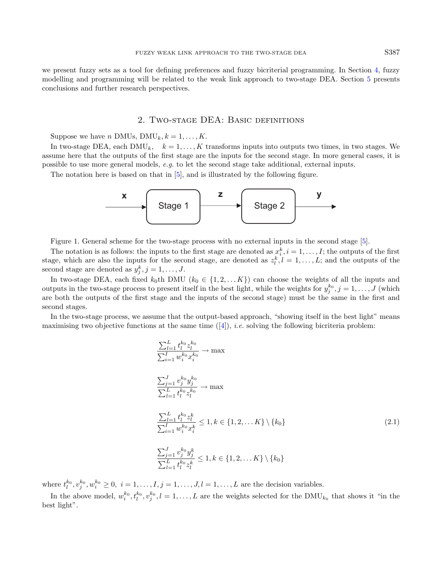we present fuzzy sets as a tool for defining preferences and fuzzy bicriterial programming. In Section [4,](#page-9-0) fuzzy modelling and programming will be related to the weak link approach to two-stage DEA. Section [5](#page-13-3) presents conclusions and further research perspectives.

## 2. Two-stage DEA: Basic definitions

<span id="page-2-0"></span>Suppose we have n DMUs,  $\text{DMU}_k, k = 1, \ldots, K$ .

In two-stage DEA, each DMU<sub>k</sub>,  $k = 1, ..., K$  transforms inputs into outputs two times, in two stages. We assume here that the outputs of the first stage are the inputs for the second stage. In more general cases, it is possible to use more general models, e.g. to let the second stage take additional, external inputs.

The notation here is based on that in [\[5\]](#page-14-0), and is illustrated by the following figure.



Figure 1. General scheme for the two-stage process with no external inputs in the second stage [\[5\]](#page-14-0).

The notation is as follows: the inputs to the first stage are denoted as  $x_i^k$ ,  $i = 1, \ldots, I$ ; the outputs of the first stage, which are also the inputs for the second stage, are denoted as  $z_l^k$ ,  $l = 1, \ldots, L$ ; and the outputs of the second stage are denoted as  $y_j^k$ ,  $j = 1, \ldots, J$ .

In two-stage DEA, each fixed  $k_0$ th DMU  $(k_0 \in \{1, 2, ..., K\})$  can choose the weights of all the inputs and outputs in the two-stage process to present itself in the best light, while the weights for  $y_j^{k_0}, j = 1, \ldots, J$  (which are both the outputs of the first stage and the inputs of the second stage) must be the same in the first and second stages.

In the two-stage process, we assume that the output-based approach, "showing itself in the best light" means maximising two objective functions at the same time  $([4])$  $([4])$  $([4])$ , *i.e.* solving the following bicriteria problem:

<span id="page-2-1"></span>
$$
\frac{\sum_{l=1}^{L} t_l^{k_0} z_l^{k_0}}{\sum_{i=1}^{I} w_i^{k_0} x_i^{k_0}} \to \max
$$
\n
$$
\frac{\sum_{j=1}^{J} v_j^{k_0} y_j^{k_0}}{\sum_{l=1}^{L} t_l^{k_0} z_l^{k_0}} \to \max
$$
\n
$$
\frac{\sum_{l=1}^{L} t_l^{k_0} z_l^{k}}{\sum_{i=1}^{I} w_i^{k_0} x_i^{k}} \le 1, k \in \{1, 2, \dots K\} \setminus \{k_0\}
$$
\n
$$
\sum_{j=1}^{J} v_j^{k_0} y_j^{k}
$$
\n
$$
(2.1)
$$

$$
\frac{\sum_{j=1}^{J} v_j^{k_0} y_j^k}{\sum_{l=1}^{L} t_l^{k_0} z_l^k} \le 1, k \in \{1, 2, \dots K\} \setminus \{k_0\}
$$

where  $t_1^{k_0}, v_j^{k_0}, w_i^{k_0} \ge 0$ ,  $i = 1, ..., I, j = 1, ..., J, l = 1, ..., L$  are the decision variables.

In the above model,  $w_i^{k_0}, t_l^{k_0}, v_j^{k_0}, l = 1, \ldots, L$  are the weights selected for the  $\text{DMU}_{k_0}$  that shows it "in the best light".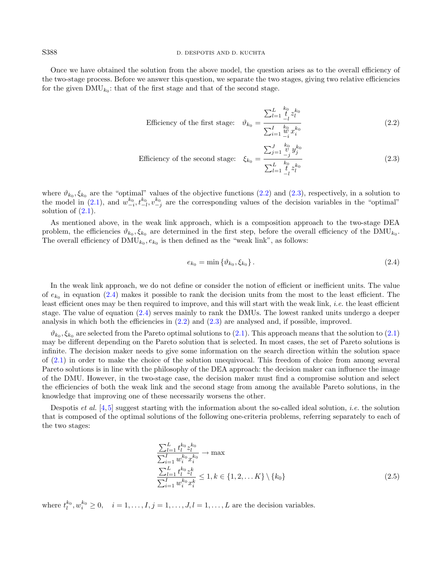#### S388 D. DESPOTIS AND D. KUCHTA

Once we have obtained the solution from the above model, the question arises as to the overall efficiency of the two-stage process. Before we answer this question, we separate the two stages, giving two relative efficiencies for the given  $\text{DMU}_{k_0}$ : that of the first stage and that of the second stage.

<span id="page-3-2"></span><span id="page-3-1"></span><span id="page-3-0"></span>Efficiency of the first stage: 
$$
\vartheta_{k_0} = \frac{\sum_{l=1}^{L} \frac{k_0}{l} z_l^{k_0}}{\sum_{i=1}^{L} \frac{k_0}{l} x_i^{k_0}}
$$
(2.2)

Efficiency of the second stage: 
$$
\xi_{k_0} = \frac{\sum_{j=1}^{J} \frac{k_0}{\nu} y_j^{k_0}}{\sum_{l=1}^{L} \frac{k_0}{\nu} z_l^{k_0}}
$$
(2.3)

where  $\vartheta_{k_0}, \xi_{k_0}$  are the "optimal" values of the objective functions [\(2.2\)](#page-3-0) and [\(2.3\)](#page-3-1), respectively, in a solution to the model in [\(2.1\)](#page-2-1), and  $w_{-i}^{k_0}, t_{-l}^{k_0}, v_{-j}^{k_0}$  are the corresponding values of the decision variables in the "optimal" solution of  $(2.1)$ .

As mentioned above, in the weak link approach, which is a composition approach to the two-stage DEA problem, the efficiencies  $\vartheta_{k_0}, \xi_{k_0}$  are determined in the first step, before the overall efficiency of the DMU<sub>k<sub>0</sub></sub>. The overall efficiency of  $\text{DMU}_{k_0}, e_{k_0}$  is then defined as the "weak link", as follows:

<span id="page-3-3"></span>
$$
e_{k_0} = \min \{ \vartheta_{k_0}, \xi_{k_0} \}. \tag{2.4}
$$

In the weak link approach, we do not define or consider the notion of efficient or inefficient units. The value of  $e_{k_0}$  in equation [\(2.4\)](#page-3-2) makes it possible to rank the decision units from the most to the least efficient. The least efficient ones may be then required to improve, and this will start with the weak link, *i.e.* the least efficient stage. The value of equation [\(2.4\)](#page-3-2) serves mainly to rank the DMUs. The lowest ranked units undergo a deeper analysis in which both the efficiencies in [\(2.2\)](#page-3-0) and [\(2.3\)](#page-3-1) are analysed and, if possible, improved.

 $\vartheta_{k_0}, \xi_{k_0}$  are selected from the Pareto optimal solutions to  $(2.1)$ . This approach means that the solution to  $(2.1)$ may be different depending on the Pareto solution that is selected. In most cases, the set of Pareto solutions is infinite. The decision maker needs to give some information on the search direction within the solution space of [\(2.1\)](#page-2-1) in order to make the choice of the solution unequivocal. This freedom of choice from among several Pareto solutions is in line with the philosophy of the DEA approach: the decision maker can influence the image of the DMU. However, in the two-stage case, the decision maker must find a compromise solution and select the efficiencies of both the weak link and the second stage from among the available Pareto solutions, in the knowledge that improving one of these necessarily worsens the other.

Despotis *et al.* [\[4,](#page-13-2)[5\]](#page-14-0) suggest starting with the information about the so-called ideal solution, *i.e.* the solution that is composed of the optimal solutions of the following one-criteria problems, referring separately to each of the two stages:

$$
\frac{\sum_{l=1}^{L} t_l^{k_0} z_l^{k_0}}{\sum_{i=1}^{I} w_i^{k_0} x_i^{k_0}} \to \max
$$
\n
$$
\frac{\sum_{l=1}^{L} t_l^{k_0} z_l^k}{\sum_{i=1}^{I} w_i^{k_0} x_i^k} \le 1, k \in \{1, 2, \dots K\} \setminus \{k_0\}
$$
\n
$$
(2.5)
$$

where  $t_l^{k_0}, w_i^{k_0} \geq 0$ ,  $i = 1, \ldots, I, j = 1, \ldots, J, l = 1, \ldots, L$  are the decision variables.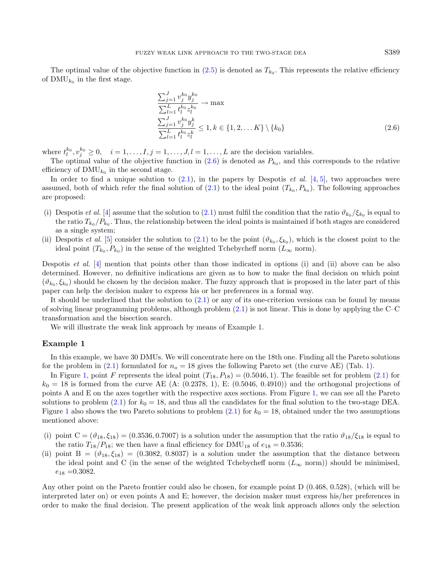The optimal value of the objective function in  $(2.5)$  is denoted as  $T_{k_0}$ . This represents the relative efficiency of  $\text{DMU}_{k_0}$  in the first stage.

<span id="page-4-0"></span>
$$
\frac{\sum_{j=1}^{J} v_j^{k_0} y_j^{k_0}}{\sum_{l=1}^{L} t_l^{k_0} z_l^{k_0}} \to \max
$$
\n
$$
\frac{\sum_{j=1}^{J} v_j^{k_0} y_j^{k}}{\sum_{l=1}^{L} t_l^{k_0} z_l^{k}} \le 1, k \in \{1, 2, \dots K\} \setminus \{k_0\}
$$
\n
$$
(2.6)
$$

where  $t_l^{k_0}, v_j^{k_0} \geq 0, \quad i = 1, \ldots, I, j = 1, \ldots, J, l = 1, \ldots, L$  are the decision variables.

The optimal value of the objective function in  $(2.6)$  is denoted as  $P_{k_0}$ , and this corresponds to the relative efficiency of  $\text{DMU}_{k_0}$  in the second stage.

In order to find a unique solution to  $(2.1)$ , in the papers by Despotis *et al.* [\[4,](#page-13-2) [5\]](#page-14-0), two approaches were assumed, both of which refer the final solution of  $(2.1)$  to the ideal point  $(T_{k_0}, P_{k_0})$ . The following approaches are proposed:

- (i) Despotis *et al.* [\[4\]](#page-13-2) assume that the solution to [\(2.1\)](#page-2-1) must fulfil the condition that the ratio  $\vartheta_{k_0}/\xi_{k_0}$  is equal to the ratio  $T_{k_0}/P_{k_0}$ . Thus, the relationship between the ideal points is maintained if both stages are considered as a single system;
- (ii) Despotis *et al.* [\[5\]](#page-14-0) consider the solution to  $(2.1)$  to be the point  $(\vartheta_{k_0}, \xi_{k_0})$ , which is the closest point to the ideal point  $(T_{k_0}, P_{k_0})$  in the sense of the weighted Tchebycheff norm  $(L_{\infty}$  norm).

Despotis et al. [\[4\]](#page-13-2) mention that points other than those indicated in options (i) and (ii) above can be also determined. However, no definitive indications are given as to how to make the final decision on which point  $(\vartheta_{k_0}, \xi_{k_0})$  should be chosen by the decision maker. The fuzzy approach that is proposed in the later part of this paper can help the decision maker to express his or her preferences in a formal way.

It should be underlined that the solution to [\(2.1\)](#page-2-1) or any of its one-criterion versions can be found by means of solving linear programming problems, although problem [\(2.1\)](#page-2-1) is not linear. This is done by applying the C–C transformation and the bisection search.

We will illustrate the weak link approach by means of Example 1.

#### Example 1

In this example, we have 30 DMUs. We will concentrate here on the 18th one. Finding all the Pareto solutions for the problem in [\(2.1\)](#page-2-1) formulated for  $n<sub>o</sub> = 18$  gives the following Pareto set (the curve AE) (Tab. [1\)](#page-5-0).

In Figure [1,](#page-6-1) point F represents the ideal point  $(T_{18}, P_{18}) = (0.5046, 1)$ . The feasible set for problem  $(2.1)$  for  $k_0 = 18$  is formed from the curve AE (A: (0.2378, 1), E: (0.5046, 0.4910)) and the orthogonal projections of points A and E on the axes together with the respective axes sections. From Figure [1,](#page-6-1) we can see all the Pareto solutions to problem [\(2.1\)](#page-2-1) for  $k_0 = 18$ , and thus all the candidates for the final solution to the two-stage DEA. Figure [1](#page-6-1) also shows the two Pareto solutions to problem [\(2.1\)](#page-2-1) for  $k_0 = 18$ , obtained under the two assumptions mentioned above:

- (i) point  $C = (\vartheta_{18}, \xi_{18}) = (0.3536, 0.7007)$  is a solution under the assumption that the ratio  $\vartheta_{18}/\xi_{18}$  is equal to the ratio  $T_{18}/P_{18}$ ; we then have a final efficiency for DMU<sub>18</sub> of  $e_{18} = 0.3536$ ;
- (ii) point  $B = (\vartheta_{18}, \xi_{18}) = (0.3082, 0.8037)$  is a solution under the assumption that the distance between the ideal point and C (in the sense of the weighted Tchebycheff norm  $(L_{\infty}$  norm)) should be minimised.  $e_{18} = 0.3082$ .

Any other point on the Pareto frontier could also be chosen, for example point D (0.468, 0.528), (which will be interpreted later on) or even points A and E; however, the decision maker must express his/her preferences in order to make the final decision. The present application of the weak link approach allows only the selection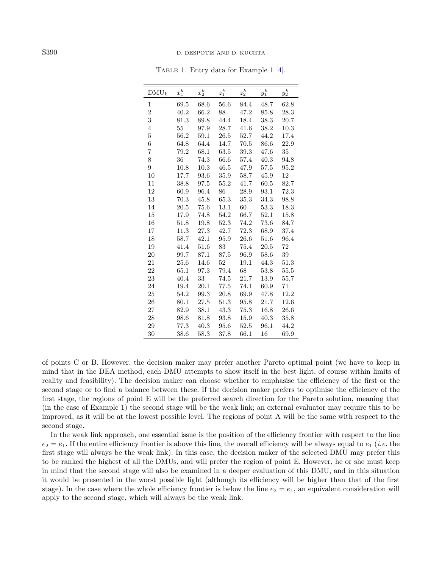| $DMU_k$        | $x_1^k$ | $x_2^k$ | $z_1^k$  | $z_2^k$  | $y_1^k$ | $y_2^k$  |
|----------------|---------|---------|----------|----------|---------|----------|
| 1              | 69.5    | 68.6    | 56.6     | 84.4     | 48.7    | 62.8     |
| $\overline{2}$ | 40.2    | 66.2    | 88       | 47.2     | 85.8    | 28.3     |
| 3              | 81.3    | 89.8    | 44.4     | 18.4     | 38.3    | 20.7     |
| $\overline{4}$ | 55      | 97.9    | 28.7     | 41.6     | 38.2    | 10.3     |
| $\overline{5}$ | 56.2    | 59.1    | 26.5     | 52.7     | 44.2    | 17.4     |
| 6              | 64.8    | 64.4    | 14.7     | $70.5\,$ | 86.6    | 22.9     |
| $\overline{7}$ | 79.2    | 68.1    | 63.5     | 39.3     | 47.6    | 35       |
| 8              | 36      | 74.3    | 66.6     | 57.4     | 40.3    | 94.8     |
| 9              | 10.8    | 10.3    | $46.5\,$ | 47.9     | 57.5    | 95.2     |
| 10             | 17.7    | 93.6    | 35.9     | 58.7     | 45.9    | 12       |
| 11             | 38.8    | 97.5    | 55.2     | 41.7     | 60.5    | 82.7     |
| 12             | 60.9    | 96.4    | 86       | 28.9     | 93.1    | 72.3     |
| 13             | 70.3    | 45.8    | 65.3     | 35.3     | 34.3    | 98.8     |
| 14             | 20.5    | 75.6    | 13.1     | 60       | 53.3    | 18.3     |
| 15             | 17.9    | 74.8    | 54.2     | 66.7     | 52.1    | 15.8     |
| 16             | 51.8    | 19.8    | 52.3     | 74.2     | 73.6    | 84.7     |
| 17             | 11.3    | 27.3    | 42.7     | $72.3\,$ | 68.9    | 37.4     |
| 18             | 58.7    | 42.1    | 95.9     | 26.6     | 51.6    | 96.4     |
| 19             | 41.4    | 51.6    | 83       | 75.4     | 20.5    | 72       |
| 20             | 99.7    | 87.1    | 87.5     | 96.9     | 58.6    | $39\,$   |
| 21             | 25.6    | 14.6    | 52       | 19.1     | 44.3    | 51.3     |
| 22             | 65.1    | 97.3    | 79.4     | 68       | 53.8    | $55.5\,$ |
| 23             | 40.4    | 33      | 74.5     | 21.7     | 13.9    | 55.7     |
| 24             | 19.4    | 20.1    | 77.5     | 74.1     | 60.9    | 71       |
| 25             | 54.2    | 99.3    | 20.8     | 69.9     | 47.8    | 12.2     |
| 26             | 80.1    | 27.5    | 51.3     | 95.8     | 21.7    | 12.6     |
| 27             | 82.9    | 38.1    | 43.3     | 75.3     | 16.8    | 26.6     |
| 28             | 98.6    | 81.8    | 93.8     | 15.9     | 40.3    | 35.8     |
| 29             | 77.3    | 40.3    | 95.6     | 52.5     | 96.1    | 44.2     |
| 30             | 38.6    | 58.3    | 37.8     | 66.1     | 16      | 69.9     |

<span id="page-5-0"></span>Table 1. Entry data for Example 1 [\[4\]](#page-13-2).

of points C or B. However, the decision maker may prefer another Pareto optimal point (we have to keep in mind that in the DEA method, each DMU attempts to show itself in the best light, of course within limits of reality and feasibility). The decision maker can choose whether to emphasise the efficiency of the first or the second stage or to find a balance between these. If the decision maker prefers to optimise the efficiency of the first stage, the regions of point E will be the preferred search direction for the Pareto solution, meaning that (in the case of Example 1) the second stage will be the weak link; an external evaluator may require this to be improved, as it will be at the lowest possible level. The regions of point A will be the same with respect to the second stage.

In the weak link approach, one essential issue is the position of the efficiency frontier with respect to the line  $e_2 = e_1$ . If the entire efficiency frontier is above this line, the overall efficiency will be always equal to  $e_1$  (*i.e.* the first stage will always be the weak link). In this case, the decision maker of the selected DMU may prefer this to be ranked the highest of all the DMUs, and will prefer the region of point E. However, he or she must keep in mind that the second stage will also be examined in a deeper evaluation of this DMU, and in this situation it would be presented in the worst possible light (although its efficiency will be higher than that of the first stage). In the case where the whole efficiency frontier is below the line  $e_2 = e_1$ , an equivalent consideration will apply to the second stage, which will always be the weak link.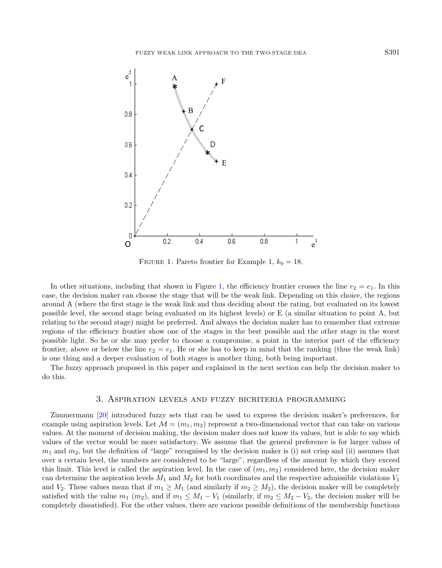<span id="page-6-1"></span>

FIGURE 1. Pareto frontier for Example 1,  $k_0 = 18$ .

In other situations, including that shown in Figure [1,](#page-6-1) the efficiency frontier crosses the line  $e_2 = e_1$ . In this case, the decision maker can choose the stage that will be the weak link. Depending on this choice, the regions around A (where the first stage is the weak link and thus deciding about the rating, but evaluated on its lowest possible level, the second stage being evaluated on its highest levels) or E (a similar situation to point A, but relating to the second stage) might be preferred. And always the decision maker has to remember that extreme regions of the efficiency frontier show one of the stages in the best possible and the other stage in the worst possible light. So he or she may prefer to choose a compromise, a point in the interior part of the efficiency frontier, above or below the line  $e_2 = e_1$ . He or she has to keep in mind that the ranking (thus the weak link) is one thing and a deeper evaluation of both stages is another thing, both being important.

The fuzzy approach proposed in this paper and explained in the next section can help the decision maker to do this.

## 3. Aspiration levels and fuzzy bicriteria programming

<span id="page-6-0"></span>Zimmermann [\[20\]](#page-14-3) introduced fuzzy sets that can be used to express the decision maker's preferences, for example using aspiration levels. Let  $\mathcal{M} = (m_1, m_2)$  represent a two-dimensional vector that can take on various values. At the moment of decision making, the decision maker does not know its values, but is able to say which values of the vector would be more satisfactory. We assume that the general preference is for larger values of  $m_1$  and  $m_2$ , but the definition of "large" recognised by the decision maker is (i) not crisp and (ii) assumes that over a certain level, the numbers are considered to be "large", regardless of the amount by which they exceed this limit. This level is called the aspiration level. In the case of  $(m_1, m_2)$  considered here, the decision maker can determine the aspiration levels  $M_1$  and  $M_2$  for both coordinates and the respective admissible violations  $V_1$ and  $V_2$ . These values mean that if  $m_1 \geq M_1$  (and similarly if  $m_2 \geq M_2$ ), the decision maker will be completely satisfied with the value  $m_1$   $(m_2)$ , and if  $m_1 \leq M_1 - V_1$  (similarly, if  $m_2 \leq M_2 - V_2$ , the decision maker will be completely dissatisfied). For the other values, there are various possible definitions of the membership functions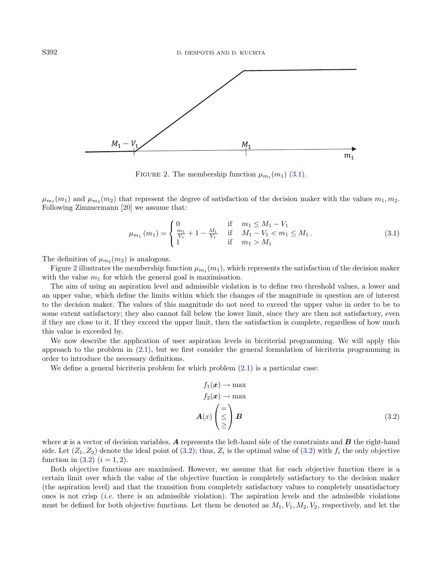<span id="page-7-1"></span>

<span id="page-7-0"></span>FIGURE 2. The membership function  $\mu_{m_1}(m_1)$  [\(3.1\)](#page-7-0).

 $\mu_{m_1}(m_1)$  and  $\mu_{m_2}(m_2)$  that represent the degree of satisfaction of the decision maker with the values  $m_1, m_2$ . Following Zimmermann [\[20\]](#page-14-3) we assume that:

$$
\mu_{m_1}(m_1) = \begin{cases} 0 & \text{if } m_1 \le M_1 - V_1 \\ \frac{m_1}{V_1} + 1 - \frac{M_1}{V_1} & \text{if } M_1 - V_1 < m_1 \le M_1 \\ 1 & \text{if } m_1 > M_1 \end{cases} \tag{3.1}
$$

The definition of  $\mu_{m_2}(m_2)$  is analogous.

Figure [2](#page-7-1) illustrates the membership function  $\mu_{m_1}(m_1)$ , which represents the satisfaction of the decision maker with the value  $m_1$  for which the general goal is maximisation.

The aim of using an aspiration level and admissible violation is to define two threshold values, a lower and an upper value, which define the limits within which the changes of the magnitude in question are of interest to the decision maker. The values of this magnitude do not need to exceed the upper value in order to be to some extent satisfactory; they also cannot fall below the lower limit, since they are then not satisfactory, even if they are close to it. If they exceed the upper limit, then the satisfaction is complete, regardless of how much this value is exceeded by.

We now describe the application of user aspiration levels in bicriterial programming. We will apply this approach to the problem in [\(2.1\)](#page-2-1), but we first consider the general formulation of bicriteria programming in order to introduce the necessary definitions.

We define a general bicriteria problem for which problem  $(2.1)$  is a particular case:

<span id="page-7-2"></span>
$$
f_1(\mathbf{x}) \to \max\n f_2(\mathbf{x}) \to \max\n \mathbf{A}(x) \begin{pmatrix} = \\ \le \\ \ge \end{pmatrix} \mathbf{B} \tag{3.2}
$$

where  $x$  is a vector of decision variables, A represents the left-hand side of the constraints and  $B$  the right-hand side. Let  $(Z_1, Z_2)$  denote the ideal point of  $(3.2)$ ; thus,  $Z_i$  is the optimal value of  $(3.2)$  with  $f_i$  the only objective function in  $(3.2)$   $(i = 1, 2)$ .

Both objective functions are maximised. However, we assume that for each objective function there is a certain limit over which the value of the objective function is completely satisfactory to the decision maker (the aspiration level) and that the transition from completely satisfactory values to completely unsatisfactory ones is not crisp (*i.e.* there is an admissible violation). The aspiration levels and the admissible violations must be defined for both objective functions. Let them be denoted as  $M_1, V_1, M_2, V_2$ , respectively, and let the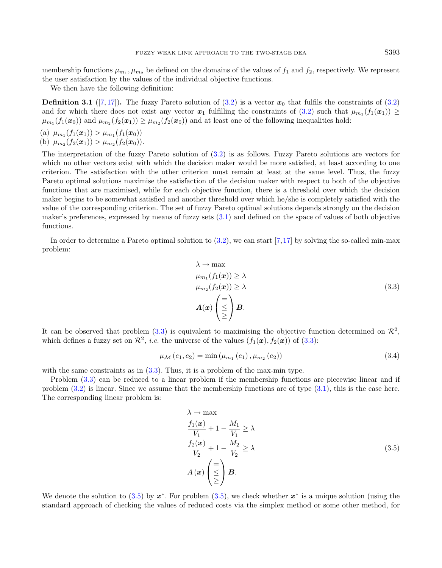membership functions  $\mu_{m_1}, \mu_{m_2}$  be defined on the domains of the values of  $f_1$  and  $f_2$ , respectively. We represent the user satisfaction by the values of the individual objective functions.

We then have the following definition:

<span id="page-8-2"></span>**Definition 3.1** ([\[7,](#page-14-4) [17\]](#page-14-5)). The fuzzy Pareto solution of [\(3.2\)](#page-7-2) is a vector  $x_0$  that fulfils the constraints of (3.2) and for which there does not exist any vector  $x_1$  fulfilling the constraints of  $(3.2)$  such that  $\mu_{m_1}(f_1(x_1)) \ge$  $\mu_{m_1}(f_1(x_0))$  and  $\mu_{m_2}(f_2(x_1)) \ge \mu_{m_2}(f_2(x_0))$  and at least one of the following inequalities hold:

(a) 
$$
\mu_{m_1}(f_1(\boldsymbol{x}_1)) > \mu_{m_1}(f_1(\boldsymbol{x}_0))
$$
  
(b)  $\mu_{m_2}(f_2(\boldsymbol{x}_1)) > \mu_{m_2}(f_2(\boldsymbol{x}_0)).$ 

The interpretation of the fuzzy Pareto solution of [\(3.2\)](#page-7-2) is as follows. Fuzzy Pareto solutions are vectors for which no other vectors exist with which the decision maker would be more satisfied, at least according to one criterion. The satisfaction with the other criterion must remain at least at the same level. Thus, the fuzzy Pareto optimal solutions maximise the satisfaction of the decision maker with respect to both of the objective functions that are maximised, while for each objective function, there is a threshold over which the decision maker begins to be somewhat satisfied and another threshold over which he/she is completely satisfied with the value of the corresponding criterion. The set of fuzzy Pareto optimal solutions depends strongly on the decision maker's preferences, expressed by means of fuzzy sets [\(3.1\)](#page-7-0) and defined on the space of values of both objective functions.

In order to determine a Pareto optimal solution to  $(3.2)$ , we can start [\[7,](#page-14-4)[17\]](#page-14-5) by solving the so-called min-max problem:

<span id="page-8-3"></span><span id="page-8-1"></span><span id="page-8-0"></span>
$$
\lambda \to \max\n\mu_{m_1}(f_1(\boldsymbol{x})) \ge \lambda\n\mu_{m_2}(f_2(\boldsymbol{x})) \ge \lambda\n\mathbf{A}(\boldsymbol{x})\begin{pmatrix} = \\ \le \\ \ge \end{pmatrix} \mathbf{B}.
$$
\n(3.3)

It can be observed that problem  $(3.3)$  is equivalent to maximising the objective function determined on  $\mathcal{R}^2$ , which defines a fuzzy set on  $\mathcal{R}^2$ , *i.e.* the universe of the values  $(f_1(\boldsymbol{x}), f_2(\boldsymbol{x}))$  of  $(3.3)$ :

$$
\mu_{\mathcal{M}}(e_1, e_2) = \min(\mu_{m_1}(e_1), \mu_{m_2}(e_2))
$$
\n(3.4)

with the same constraints as in  $(3.3)$ . Thus, it is a problem of the max-min type.

Problem [\(3.3\)](#page-8-0) can be reduced to a linear problem if the membership functions are piecewise linear and if problem  $(3.2)$  is linear. Since we assume that the membership functions are of type  $(3.1)$ , this is the case here. The corresponding linear problem is:

$$
\lambda \to \max
$$
\n
$$
\frac{f_1(\mathbf{x})}{V_1} + 1 - \frac{M_1}{V_1} \ge \lambda
$$
\n
$$
\frac{f_2(\mathbf{x})}{V_2} + 1 - \frac{M_2}{V_2} \ge \lambda
$$
\n
$$
A(\mathbf{x}) \begin{pmatrix} = \\ \le \\ \ge \end{pmatrix} \mathbf{B}.
$$
\n(3.5)

We denote the solution to  $(3.5)$  by  $x^*$ . For problem  $(3.5)$ , we check whether  $x^*$  is a unique solution (using the standard approach of checking the values of reduced costs via the simplex method or some other method, for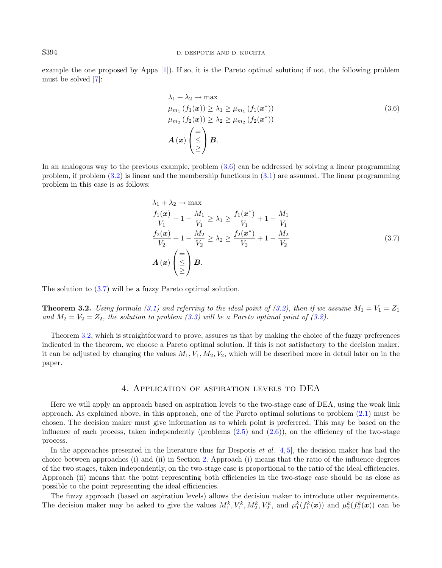example the one proposed by Appa [\[1\]](#page-13-4)). If so, it is the Pareto optimal solution; if not, the following problem must be solved [\[7\]](#page-14-4):

<span id="page-9-2"></span><span id="page-9-1"></span>
$$
\lambda_1 + \lambda_2 \rightarrow \max
$$
  
\n
$$
\mu_{m_1} (f_1(\boldsymbol{x})) \ge \lambda_1 \ge \mu_{m_1} (f_1(\boldsymbol{x}^*))
$$
  
\n
$$
\mu_{m_2} (f_2(\boldsymbol{x})) \ge \lambda_2 \ge \mu_{m_2} (f_2(\boldsymbol{x}^*))
$$
  
\n
$$
\mathbf{A} (\boldsymbol{x}) \begin{pmatrix} = \\ \le \\ \ge \end{pmatrix} \mathbf{B}.
$$
\n(3.6)

In an analogous way to the previous example, problem [\(3.6\)](#page-9-1) can be addressed by solving a linear programming problem, if problem [\(3.2\)](#page-7-2) is linear and the membership functions in [\(3.1\)](#page-7-0) are assumed. The linear programming problem in this case is as follows:

$$
\lambda_1 + \lambda_2 \to \max
$$
\n
$$
\frac{f_1(x)}{V_1} + 1 - \frac{M_1}{V_1} \ge \lambda_1 \ge \frac{f_1(x^*)}{V_1} + 1 - \frac{M_1}{V_1}
$$
\n
$$
\frac{f_2(x)}{V_2} + 1 - \frac{M_2}{V_2} \ge \lambda_2 \ge \frac{f_2(x^*)}{V_2} + 1 - \frac{M_2}{V_2}
$$
\n
$$
A(x) \begin{pmatrix} = \\ \le \\ \ge \end{pmatrix} B.
$$
\n(3.7)

<span id="page-9-3"></span>The solution to [\(3.7\)](#page-9-2) will be a fuzzy Pareto optimal solution.

**Theorem 3.2.** Using formula [\(3.1\)](#page-7-0) and referring to the ideal point of [\(3.2\)](#page-7-2), then if we assume  $M_1 = V_1 = Z_1$ and  $M_2 = V_2 = Z_2$ , the solution to problem [\(3.3\)](#page-8-0) will be a Pareto optimal point of [\(3.2\)](#page-7-2).

Theorem [3.2,](#page-9-3) which is straightforward to prove, assures us that by making the choice of the fuzzy preferences indicated in the theorem, we choose a Pareto optimal solution. If this is not satisfactory to the decision maker, it can be adjusted by changing the values  $M_1, V_1, M_2, V_2$ , which will be described more in detail later on in the paper.

### 4. Application of aspiration levels to DEA

<span id="page-9-0"></span>Here we will apply an approach based on aspiration levels to the two-stage case of DEA, using the weak link approach. As explained above, in this approach, one of the Pareto optimal solutions to problem [\(2.1\)](#page-2-1) must be chosen. The decision maker must give information as to which point is preferrred. This may be based on the influence of each process, taken independently (problems  $(2.5)$  and  $(2.6)$ ), on the efficiency of the two-stage process.

In the approaches presented in the literature thus far Despotis *et al.* [\[4,](#page-13-2) [5\]](#page-14-0), the decision maker has had the choice between approaches (i) and (ii) in Section [2.](#page-2-0) Approach (i) means that the ratio of the influence degrees of the two stages, taken independently, on the two-stage case is proportional to the ratio of the ideal efficiencies. Approach (ii) means that the point representing both efficiencies in the two-stage case should be as close as possible to the point representing the ideal efficiencies.

The fuzzy approach (based on aspiration levels) allows the decision maker to introduce other requirements. The decision maker may be asked to give the values  $M_1^k, V_1^k, M_2^k, V_2^k$ , and  $\mu_1^k(f_1^k(\boldsymbol{x}))$  and  $\mu_2^k(f_2^k(\boldsymbol{x}))$  can be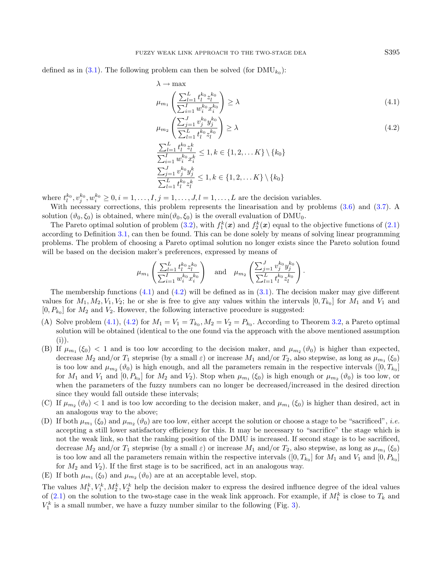defined as in  $(3.1)$ . The following problem can then be solved (for  $\text{DMU}_{k_0}$ ):

$$
\lambda \to \max
$$
  
\n
$$
\mu_{m_1} \left( \frac{\sum_{l=1}^{L} t_l^{k_0} z_l^{k_0}}{\sum_{i=1}^{L} w_i^{k_0} x_i^{k_0}} \right) \ge \lambda
$$
\n(4.1)

$$
\mu_{m_2} \left( \frac{\sum_{j=1}^J v_j^{k_0} y_j^{k_0}}{\sum_{l=1}^L t_l^{k_0} z_l^{k_0}} \right) \ge \lambda \tag{4.2}
$$

 $\frac{\sum_{l=1}^{L} t_l^{k_0} z_l^k}{\sum_{i=1}^{I} w_i^{k_0} x_i^k}$  $\leq 1, k \in \{1, 2, \ldots K\} \setminus \{k_0\}$  $\sum_{j=1}^{J} v_{j}^{k_{0}} y_{j}^{k}$  $\sum_{l=1}^L t_l^{k_0} z_l^k$  $\leq 1, k \in \{1, 2, \ldots K\} \setminus \{k_0\}$ 

where  $t_1^{k_0}, v_j^{k_0}, w_i^{k_0} \ge 0, i = 1, ..., I, j = 1, ..., J, l = 1, ..., L$  are the decision variables.

With necessary corrections, this problem represents the linearisation and by problems [\(3.6\)](#page-9-1) and [\(3.7\)](#page-9-2). A solution  $(\vartheta_0, \xi_0)$  is obtained, where  $\min(\vartheta_0, \xi_0)$  is the overall evaluation of DMU<sub>0</sub>.

The Pareto optimal solution of problem [\(3.2\)](#page-7-2), with  $f_1^k(x)$  and  $f_2^k(x)$  equal to the objective functions of [\(2.1\)](#page-2-1) according to Definition [3.1,](#page-8-2) can then be found. This can be done solely by means of solving linear programming problems. The problem of choosing a Pareto optimal solution no longer exists since the Pareto solution found will be based on the decision maker's preferences, expressed by means of

$$
\mu_{m_1}\left(\frac{\sum_{l=1}^L t_l^{k_0} z_l^{k_0}}{\sum_{i=1}^I w_i^{k_0} x_i^{k_0}}\right) \quad \text{and} \quad \mu_{m_2}\left(\frac{\sum_{j=1}^J v_j^{k_0} y_j^{k_0}}{\sum_{l=1}^L t_l^{k_0} z_l^{k_0}}\right).
$$

The membership functions  $(4.1)$  and  $(4.2)$  will be defined as in  $(3.1)$ . The decision maker may give different values for  $M_1, M_2, V_1, V_2$ ; he or she is free to give any values within the intervals  $[0, T_{k_0}]$  for  $M_1$  and  $V_1$  and  $[0, P_{k_0}]$  for  $M_2$  and  $V_2$ . However, the following interactive procedure is suggested:

- (A) Solve problem [\(4.1\)](#page-10-0), [\(4.2\)](#page-10-1) for  $M_1 = V_1 = T_{k_0}, M_2 = V_2 = P_{k_0}$ . According to Theorem [3.2,](#page-9-3) a Pareto optimal solution will be obtained (identical to the one found via the approach with the above mentioned assumption  $(i)$ ).
- (B) If  $\mu_{m_1}(\xi_0)$  < 1 and is too low according to the decision maker, and  $\mu_{m_2}(\vartheta_0)$  is higher than expected, decrease  $M_2$  and/or  $T_1$  stepwise (by a small  $\varepsilon$ ) or increase  $M_1$  and/or  $T_2$ , also stepwise, as long as  $\mu_{m_1}(\xi_0)$ is too low and  $\mu_{m_2}(\theta_0)$  is high enough, and all the parameters remain in the respective intervals  $([0, T_{k_0}]$ for  $M_1$  and  $V_1$  and  $[0, P_{k_0}]$  for  $M_2$  and  $V_2$ ). Stop when  $\mu_{m_1}(\xi_0)$  is high enough or  $\mu_{m_2}(\vartheta_0)$  is too low, or when the parameters of the fuzzy numbers can no longer be decreased/increased in the desired direction since they would fall outside these intervals;
- (C) If  $\mu_{m_2}(\vartheta_0)$  < 1 and is too low according to the decision maker, and  $\mu_{m_1}(\xi_0)$  is higher than desired, act in an analogous way to the above;
- (D) If both  $\mu_{m_1}(\xi_0)$  and  $\mu_{m_2}(\vartheta_0)$  are too low, either accept the solution or choose a stage to be "sacrificed", *i.e.* accepting a still lower satisfactory efficiency for this. It may be necessary to "sacrifice" the stage which is not the weak link, so that the ranking position of the DMU is increased. If second stage is to be sacrificed, decrease  $M_2$  and/or  $T_1$  stepwise (by a small  $\varepsilon$ ) or increase  $M_1$  and/or  $T_2$ , also stepwise, as long as  $\mu_{m_1}(\xi_0)$ is too low and all the parameters remain within the respective intervals  $([0, T_{k_0}]$  for  $M_1$  and  $V_1$  and  $[0, P_{k_0}]$ for  $M_2$  and  $V_2$ ). If the first stage is to be sacrificed, act in an analogous way.
- (E) If both  $\mu_{m_1}(\xi_0)$  and  $\mu_{m_2}(\vartheta_0)$  are at an acceptable level, stop.

The values  $M_1^k, V_1^k, M_2^k, V_2^k$  help the decision maker to express the desired influence degree of the ideal values of  $(2.1)$  on the solution to the two-stage case in the weak link approach. For example, if  $M_1^k$  is close to  $T_k$  and  $V_1^k$  is a small number, we have a fuzzy number similar to the following (Fig. [3\)](#page-11-0).

<span id="page-10-1"></span><span id="page-10-0"></span>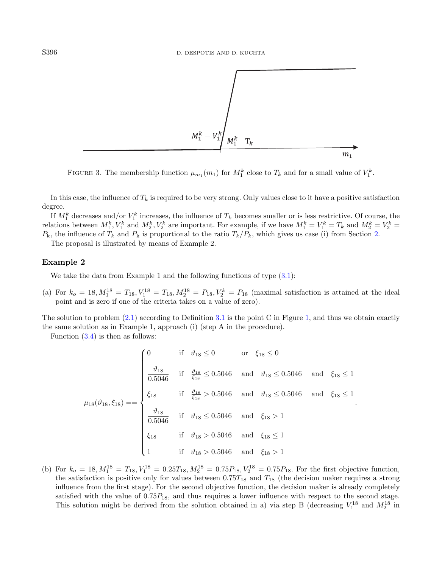<span id="page-11-0"></span>

FIGURE 3. The membership function  $\mu_{m_1}(m_1)$  for  $M_1^k$  close to  $T_k$  and for a small value of  $V_1^k$ .

In this case, the influence of  $T_k$  is required to be very strong. Only values close to it have a positive satisfaction degree.

If  $M_1^k$  decreases and/or  $V_1^k$  increases, the influence of  $T_k$  becomes smaller or is less restrictive. Of course, the relations between  $M_1^k$ ,  $V_1^k$  and  $M_2^k$ ,  $V_2^k$  are important. For example, if we have  $M_1^k = V_1^k = T_k$  and  $M_2^k = V_2^k = T_k$  $P_k$ , the influence of  $T_k$  and  $P_k$  is proportional to the ratio  $T_k/P_k$ , which gives us case (i) from Section [2.](#page-2-0)

The proposal is illustrated by means of Example 2.

### Example 2

We take the data from Example 1 and the following functions of type  $(3.1)$ :

(a) For  $k_o = 18, M_1^{18} = T_{18}, V_1^{18} = T_{18}, M_2^{18} = P_{18}, V_2^k = P_{18}$  (maximal satisfaction is attained at the ideal point and is zero if one of the criteria takes on a value of zero).

The solution to problem  $(2.1)$  according to Definition [3.1](#page-8-2) is the point C in Figure [1,](#page-6-1) and thus we obtain exactly the same solution as in Example 1, approach (i) (step A in the procedure).

Function [\(3.4\)](#page-8-3) is then as follows:

$$
\mu_{18}(\vartheta_{18}, \xi_{18}) = = \begin{cases}\n0 & \text{if } \vartheta_{18} \le 0 \text{ or } \xi_{18} \le 0 \\
\frac{\vartheta_{18}}{0.5046} & \text{if } \frac{\vartheta_{18}}{\xi_{18}} \le 0.5046 \text{ and } \vartheta_{18} \le 0.5046 \text{ and } \xi_{18} \le 1 \\
\xi_{18} & \text{if } \frac{\vartheta_{18}}{\xi_{18}} > 0.5046 \text{ and } \vartheta_{18} \le 0.5046 \text{ and } \xi_{18} \le 1 \\
\frac{\vartheta_{18}}{0.5046} & \text{if } \vartheta_{18} \le 0.5046 \text{ and } \xi_{18} > 1 \\
\xi_{18} & \text{if } \vartheta_{18} > 0.5046 \text{ and } \xi_{18} \le 1 \\
1 & \text{if } \vartheta_{18} > 0.5046 \text{ and } \xi_{18} > 1\n\end{cases}
$$

.

(b) For  $k_o = 18$ ,  $M_1^{18} = T_{18}$ ,  $V_1^{18} = 0.25T_{18}$ ,  $M_2^{18} = 0.75P_{18}$ ,  $V_2^{18} = 0.75P_{18}$ . For the first objective function, the satisfaction is positive only for values between  $0.75T_{18}$  and  $T_{18}$  (the decision maker requires a strong influence from the first stage). For the second objective function, the decision maker is already completely satisfied with the value of  $0.75P_{18}$ , and thus requires a lower influence with respect to the second stage. This solution might be derived from the solution obtained in a) via step B (decreasing  $V_1^{18}$  and  $M_2^{18}$  in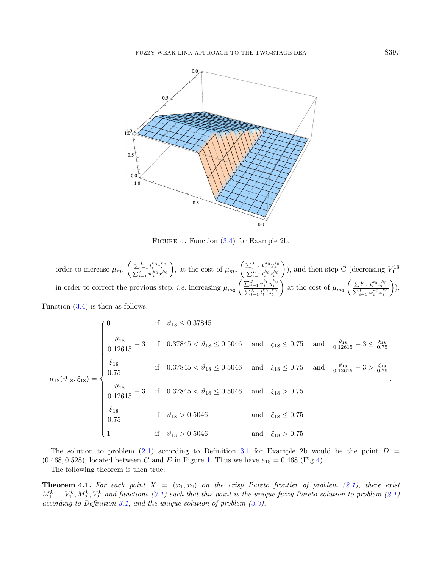<span id="page-12-0"></span>

<span id="page-12-1"></span>FIGURE 4. Function  $(3.4)$  for Example 2b.

order to increase 
$$
\mu_{m_1} \left( \frac{\sum_{l=1}^L t_l^{k_0} z_l^{k_0}}{\sum_{i=1}^L w_i^{k_0} x_i^{k_0}} \right)
$$
, at the cost of  $\mu_{m_2} \left( \frac{\sum_{j=1}^J v_j^{k_0} y_j^{k_0}}{\sum_{l=1}^L t_l^{k_0} z_l^{k_0}} \right)$ ), and then step C (decreasing  $V_1^{18}$   
in order to correct the previous step, *i.e.* increasing  $\mu_{m_2} \left( \frac{\sum_{j=1}^J v_j^{k_0} y_j^{k_0}}{\sum_{l=1}^L t_l^{k_0} z_l^{k_0}} \right)$  at the cost of  $\mu_{m_1} \left( \frac{\sum_{l=1}^L t_l^{k_0} z_l^{k_0}}{\sum_{i=1}^L w_i^{k_0} x_i^{k_0}} \right)$ ).  
Function (3.4) is then as follows:

$$
\mu_{18}(\vartheta_{18}, \xi_{18}) = \begin{cases}\n0 & \text{if } \vartheta_{18} \le 0.37845 \\
\frac{\vartheta_{18}}{0.12615} - 3 & \text{if } 0.37845 < \vartheta_{18} \le 0.5046 \text{ and } \xi_{18} \le 0.75 \text{ and } \frac{\vartheta_{18}}{0.12615} - 3 \le \frac{\xi_{18}}{0.75} \\
\frac{\xi_{18}}{0.75} & \text{if } 0.37845 < \vartheta_{18} \le 0.5046 \text{ and } \xi_{18} \le 0.75 \text{ and } \frac{\vartheta_{18}}{0.12615} - 3 > \frac{\xi_{18}}{0.75} \\
\frac{\vartheta_{18}}{0.12615} - 3 & \text{if } 0.37845 < \vartheta_{18} \le 0.5046 \text{ and } \xi_{18} > 0.75 \\
\frac{\xi_{18}}{0.75} & \text{if } \vartheta_{18} > 0.5046 \text{ and } \xi_{18} \le 0.75 \\
1 & \text{if } \vartheta_{18} > 0.5046 \text{ and } \xi_{18} > 0.75\n\end{cases}
$$

The solution to problem [\(2.1\)](#page-2-1) according to Definition [3.1](#page-8-2) for Example 2b would be the point  $D =$  $(0.468, 0.528)$ , located between C and E in Figure [1.](#page-6-1) Thus we have  $e_{18} = 0.468$  (Fig [4\)](#page-12-0).

The following theorem is then true:

**Theorem 4.1.** For each point  $X = (x_1, x_2)$  on the crisp Pareto frontier of problem [\(2.1\)](#page-2-1), there exist  $M_1^k$ ,  $V_1^k$ ,  $M_2^k$ ,  $V_2^k$  and functions [\(3.1\)](#page-7-0) such that this point is the unique fuzzy Pareto solution to problem [\(2.1\)](#page-2-1) according to Definition [3.1,](#page-8-2) and the unique solution of problem [\(3.3\)](#page-8-0).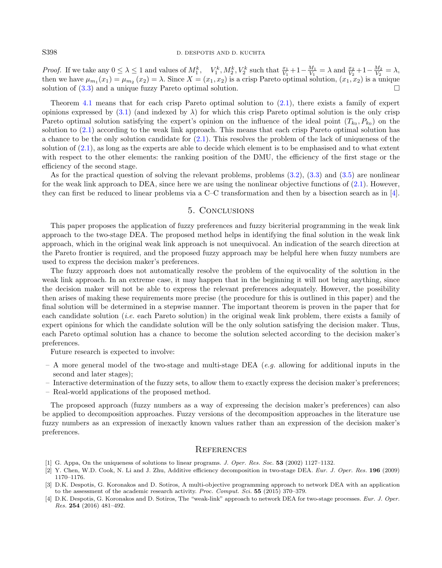*Proof.* If we take any  $0 \leq \lambda \leq 1$  and values of  $M_1^k$ ,  $V_1^k$ ,  $M_2^k$ ,  $V_2^k$  such that  $\frac{x_1}{V_1} + 1 - \frac{M_1}{V_1} = \lambda$  and  $\frac{x_2}{V_2} + 1 - \frac{M_2}{V_2} = \lambda$ , then we have  $\mu_{m_1}(x_1) = \mu_{m_2}(x_2) = \lambda$ . Since  $X = (x_1, x_2)$  is a crisp Pareto optimal solution,  $(x_1, x_2)$  is a unique solution of [\(3.3\)](#page-8-0) and a unique fuzzy Pareto optimal solution.

Theorem [4.1](#page-12-1) means that for each crisp Pareto optimal solution to [\(2.1\)](#page-2-1), there exists a family of expert opinions expressed by  $(3.1)$  (and indexed by  $\lambda$ ) for which this crisp Pareto optimal solution is the only crisp Pareto optimal solution satisfying the expert's opinion on the influence of the ideal point  $(T_{k_0}, P_{k_0})$  on the solution to [\(2.1\)](#page-2-1) according to the weak link approach. This means that each crisp Pareto optimal solution has a chance to be the only solution candidate for [\(2.1\)](#page-2-1). This resolves the problem of the lack of uniqueness of the solution of [\(2.1\)](#page-2-1), as long as the experts are able to decide which element is to be emphasised and to what extent with respect to the other elements: the ranking position of the DMU, the efficiency of the first stage or the efficiency of the second stage.

As for the practical question of solving the relevant problems, problems [\(3.2\)](#page-7-2), [\(3.3\)](#page-8-0) and [\(3.5\)](#page-8-1) are nonlinear for the weak link approach to DEA, since here we are using the nonlinear objective functions of  $(2.1)$ . However, they can first be reduced to linear problems via a C–C transformation and then by a bisection search as in [\[4\]](#page-13-2).

## 5. Conclusions

<span id="page-13-3"></span>This paper proposes the application of fuzzy preferences and fuzzy bicriterial programming in the weak link approach to the two-stage DEA. The proposed method helps in identifying the final solution in the weak link approach, which in the original weak link approach is not unequivocal. An indication of the search direction at the Pareto frontier is required, and the proposed fuzzy approach may be helpful here when fuzzy numbers are used to express the decision maker's preferences.

The fuzzy approach does not automatically resolve the problem of the equivocality of the solution in the weak link approach. In an extreme case, it may happen that in the beginning it will not bring anything, since the decision maker will not be able to express the relevant preferences adequately. However, the possibility then arises of making these requirements more precise (the procedure for this is outlined in this paper) and the final solution will be determined in a stepwise manner. The important theorem is proven in the paper that for each candidate solution *(i.e.* each Pareto solution) in the original weak link problem, there exists a family of expert opinions for which the candidate solution will be the only solution satisfying the decision maker. Thus, each Pareto optimal solution has a chance to become the solution selected according to the decision maker's preferences.

<span id="page-13-4"></span>Future research is expected to involve:

- <span id="page-13-1"></span>– A more general model of the two-stage and multi-stage DEA (e.g. allowing for additional inputs in the second and later stages);
- <span id="page-13-0"></span>– Interactive determination of the fuzzy sets, to allow them to exactly express the decision maker's preferences;
- <span id="page-13-2"></span>– Real-world applications of the proposed method.

The proposed approach (fuzzy numbers as a way of expressing the decision maker's preferences) can also be applied to decomposition approaches. Fuzzy versions of the decomposition approaches in the literature use fuzzy numbers as an expression of inexactly known values rather than an expression of the decision maker's preferences.

#### **REFERENCES**

- [1] G. Appa, On the uniqueness of solutions to linear programs. J. Oper. Res. Soc. 53 (2002) 1127–1132.
- [2] Y. Chen, W.D. Cook, N. Li and J. Zhu, Additive efficiency decomposition in two-stage DEA. Eur. J. Oper. Res. 196 (2009) 1170–1176.
- [3] D.K. Despotis, G. Koronakos and D. Sotiros, A multi-objective programming approach to network DEA with an application to the assessment of the academic research activity. Proc. Comput. Sci. 55 (2015) 370–379.
- [4] D.K. Despotis, G. Koronakos and D. Sotiros, The "weak-link" approach to network DEA for two-stage processes. Eur. J. Oper. Res. 254 (2016) 481–492.